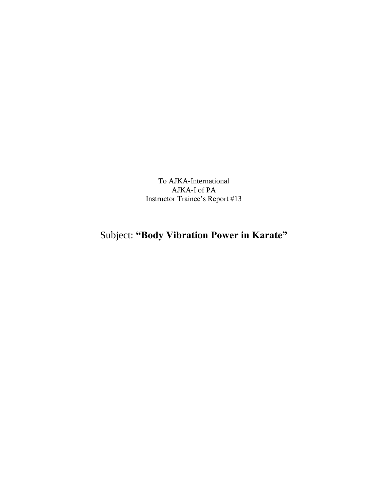To AJKA-International AJKA-I of PA Instructor Trainee's Report #13

## Subject: **"Body Vibration Power in Karate"**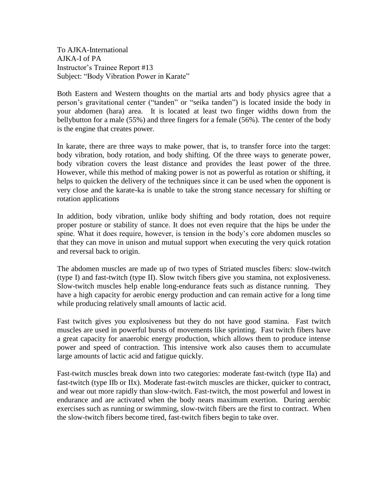To AJKA-International AJKA-I of PA Instructor's Trainee Report #13 Subject: "Body Vibration Power in Karate"

Both Eastern and Western thoughts on the martial arts and body physics agree that a person's gravitational center ("tanden" or "seika tanden") is located inside the body in your abdomen (hara) area. It is located at least two finger widths down from the bellybutton for a male (55%) and three fingers for a female (56%). The center of the body is the engine that creates power.

In karate, there are three ways to make power, that is, to transfer force into the target: body vibration, body rotation, and body shifting. Of the three ways to generate power, body vibration covers the least distance and provides the least power of the three. However, while this method of making power is not as powerful as rotation or shifting, it helps to quicken the delivery of the techniques since it can be used when the opponent is very close and the karate-ka is unable to take the strong stance necessary for shifting or rotation applications

In addition, body vibration, unlike body shifting and body rotation, does not require proper posture or stability of stance. It does not even require that the hips be under the spine. What it does require, however, is tension in the body's core abdomen muscles so that they can move in unison and mutual support when executing the very quick rotation and reversal back to origin.

The abdomen muscles are made up of two types of Striated muscles fibers: slow-twitch (type I) and fast-twitch (type II). Slow twitch fibers give you stamina, not explosiveness. Slow-twitch muscles help enable long-endurance feats such as distance running. They have a high capacity for aerobic energy production and can remain active for a long time while producing relatively small amounts of lactic acid.

Fast twitch gives you explosiveness but they do not have good stamina. Fast twitch muscles are used in powerful bursts of movements like sprinting. Fast twitch fibers have a great capacity for anaerobic energy production, which allows them to produce intense power and speed of contraction. This intensive work also causes them to accumulate large amounts of lactic acid and fatigue quickly.

Fast-twitch muscles break down into two categories: moderate fast-twitch (type IIa) and fast-twitch (type IIb or IIx). Moderate fast-twitch muscles are thicker, quicker to contract, and wear out more rapidly than slow-twitch. Fast-twitch, the most powerful and lowest in endurance and are activated when the body nears maximum exertion. During aerobic exercises such as running or swimming, slow-twitch fibers are the first to contract. When the slow-twitch fibers become tired, fast-twitch fibers begin to take over.